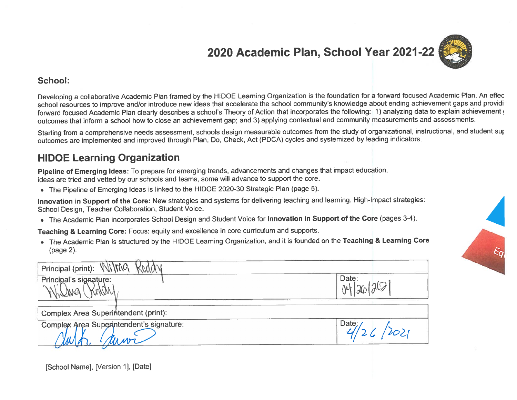# 2020 Academic Plan, School Year 2021-22



#### School:

Developing a collaborative Academic Plan framed by the HIDOE Learning Organization is the foundation for a forward focused Academic Plan. An effec school resources to improve and/or introduce new ideas that accelerate the school community's knowledge about ending achievement gaps and providi forward focused Academic Plan clearly describes a school's Theory of Action that incorporates the following: [1] analyzing data to explain achievement of outcomes that inform a school how to close an achievement gap; and 3) applying contextual and community measurements and assessments.

Starting from a comprehensive needs assessment, schools design measurable outcomes from the study of organizational, instructional, and student sur outcomes are implemented and improved through Plan, Do, Check, Act (PDCA) cycles and systemized by leading indicators.

### **HIDOE Learning Organization**

Pipeline of Emerging Ideas: To prepare for emerging trends, advancements and changes that impact education, ideas are tried and vetted by our schools and teams, some will advance to support the core.

• The Pipeline of Emerging Ideas is linked to the HIDOE 2020-30 Strategic Plan (page 5).

Innovation in Support of the Core: New strategies and systems for delivering teaching and learning. High-Impact strategies: School Design, Teacher Collaboration, Student Voice.

• The Academic Plan incorporates School Design and Student Voice for Innovation in Support of the Core (pages 3-4).

Teaching & Learning Core: Focus: equity and excellence in core curriculum and supports.

• The Academic Plan is structured by the HIDOE Learning Organization, and it is founded on the Teaching & Learning Core (page 2).



| Principal (print): Willing               |               |
|------------------------------------------|---------------|
| Principal's signature:                   | Date:         |
|                                          |               |
| Complex Area Superintendent (print):     |               |
| Complex Area Superintendent's signature: | Date;<br>1202 |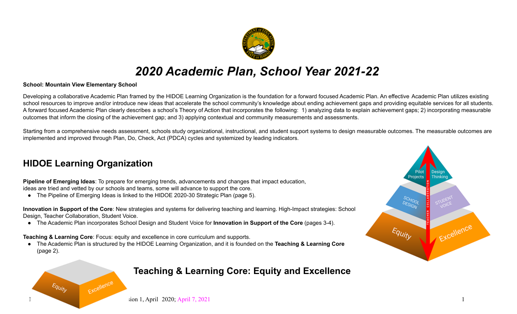

# *2020 Academic Plan, School Year 2021-22*

#### **School: Mountain View Elementary School**

Developing a collaborative Academic Plan framed by the HIDOE Learning Organization is the foundation for a forward focused Academic Plan. An effective Academic Plan utilizes existing school resources to improve and/or introduce new ideas that accelerate the school community's knowledge about ending achievement gaps and providing equitable services for all students. A forward focused Academic Plan clearly describes a school's Theory of Action that incorporates the following: 1) analyzing data to explain achievement gaps; 2) incorporating measurable outcomes that inform the closing of the achievement gap; and 3) applying contextual and community measurements and assessments.

Starting from a comprehensive needs assessment, schools study organizational, instructional, and student support systems to design measurable outcomes. The measurable outcomes are implemented and improved through Plan, Do, Check, Act (PDCA) cycles and systemized by leading indicators.

# **HIDOE Learning Organization**

**Pipeline of Emerging Ideas**: To prepare for emerging trends, advancements and changes that impact education, ideas are tried and vetted by our schools and teams, some will advance to support the core.

● The Pipeline of Emerging Ideas is linked to the HIDOE 2020-30 Strategic Plan (page 5).

**Innovation in Support of the Core**: New strategies and systems for delivering teaching and learning. High-Impact strategies: School Design, Teacher Collaboration, Student Voice.

● The Academic Plan incorporates School Design and Student Voice for **Innovation in Support of the Core** (pages 3-4).

**Teaching & Learning Core**: Focus: equity and excellence in core curriculum and supports.

● The Academic Plan is structured by the HIDOE Learning Organization, and it is founded on the **Teaching & Learning Core** (page 2).



# **Teaching & Learning Core: Equity and Excellence**

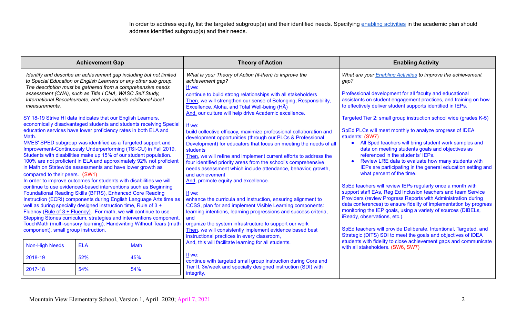In order to address equity, list the targeted subgroup(s) and their identified needs. Specifying enabling [activities](https://docs.google.com/document/d/1_CBCCCUPTqpr2sEeh1fQ9EUVupyhBBZlYUdzcm9zCw0/edit) in the academic plan should address identified subgroup(s) and their needs.

| <b>Achievement Gap</b>                                                                                                                                                                                                                                                                                                                                                                                                                                                                                                                                                                                                                                                                                                                                                                                                                                                                                                                                                                                                                                                                                                                                                                                                                                                                                                                                                                                                                                                                                                                                       | <b>Theory of Action</b>                                                                                                                                                                                                                                                                                                                                                                                                                                                                                                                                                                                                                                                                                                                                                                                                                                                                                                                                                                                                                                                                                                                                                                                                  | <b>Enabling Activity</b>                                                                                                                                                                                                                                                                                                                                                                                                                                                                                                                                                                                                                                                                                                                                                                                                                                                                                                                                                                                                                                                                                                                                                                                                                                                                                                         |
|--------------------------------------------------------------------------------------------------------------------------------------------------------------------------------------------------------------------------------------------------------------------------------------------------------------------------------------------------------------------------------------------------------------------------------------------------------------------------------------------------------------------------------------------------------------------------------------------------------------------------------------------------------------------------------------------------------------------------------------------------------------------------------------------------------------------------------------------------------------------------------------------------------------------------------------------------------------------------------------------------------------------------------------------------------------------------------------------------------------------------------------------------------------------------------------------------------------------------------------------------------------------------------------------------------------------------------------------------------------------------------------------------------------------------------------------------------------------------------------------------------------------------------------------------------------|--------------------------------------------------------------------------------------------------------------------------------------------------------------------------------------------------------------------------------------------------------------------------------------------------------------------------------------------------------------------------------------------------------------------------------------------------------------------------------------------------------------------------------------------------------------------------------------------------------------------------------------------------------------------------------------------------------------------------------------------------------------------------------------------------------------------------------------------------------------------------------------------------------------------------------------------------------------------------------------------------------------------------------------------------------------------------------------------------------------------------------------------------------------------------------------------------------------------------|----------------------------------------------------------------------------------------------------------------------------------------------------------------------------------------------------------------------------------------------------------------------------------------------------------------------------------------------------------------------------------------------------------------------------------------------------------------------------------------------------------------------------------------------------------------------------------------------------------------------------------------------------------------------------------------------------------------------------------------------------------------------------------------------------------------------------------------------------------------------------------------------------------------------------------------------------------------------------------------------------------------------------------------------------------------------------------------------------------------------------------------------------------------------------------------------------------------------------------------------------------------------------------------------------------------------------------|
| Identify and describe an achievement gap including but not limited<br>to Special Education or English Learners or any other sub group.<br>The description must be gathered from a comprehensive needs<br>assessment (CNA), such as Title I CNA, WASC Self Study,<br>International Baccalaureate, and may include additional local<br>measurements.<br>SY 18-19 Strive HI data indicates that our English Learners,<br>economically disadvantaged students and students receiving Special<br>education services have lower proficiency rates in both ELA and<br>Math.<br>MVES' SPED subgroup was identified as a Targeted support and<br>Improvement-Continuously Underperforming (TSI-CU) in Fall 2019.<br>Students with disabilities make up 15% of our student population.<br>100% are not proficient in ELA and approximately 92% not proficient<br>in Math on Statewide assessments and have lower growth as<br>compared to their peers. (SW1)<br>In order to improve outcomes for students with disabilities we will<br>continue to use evidenced-based interventions such as Beginning<br>Foundational Reading Skills (BFRS), Enhanced Core Reading<br>Instruction (ECRI) components during English Language Arts time as<br>well as during specially designed instruction time, Rule of 3 +<br>Fluency (Rule of 3 + Fluency). For math, we will continue to use<br>Stepping Stones curriculum, strategies and interventions component,<br>TouchMath (multi-sensory learning), Handwriting Without Tears (math<br>component), small group instruction. | What is your Theory of Action (if-then) to improve the<br>achievement gap?<br>If we:<br>continue to build strong relationships with all stakeholders<br>Then, we will strengthen our sense of Belonging, Responsibility,<br>Excellence, Aloha, and Total Well-being (HA)<br>And, our culture will help drive Academic excellence.<br>If we:<br>build collective efficacy, maximize professional collaboration and<br>development opportunities (through our PLCs & Professional<br>Development) for educators that focus on meeting the needs of all<br>students<br>Then, we will refine and implement current efforts to address the<br>four identified priority areas from the school's comprehensive<br>needs assessment which include attendance, behavior, growth,<br>and achievement<br>And, promote equity and excellence.<br>If we:<br>enhance the curricula and instruction, ensuring alignment to<br>CCSS, plan for and implement Visible Learning components:<br>learning intentions, learning progressions and success criteria,<br>and<br>organize the system infrastructure to support our work<br>Then, we will consistently implement evidence based best<br>instructional practices in every classroom, | What are your <i>Enabling Activities</i> to improve the achievement<br>gap?<br>Professional development for all faculty and educational<br>assistants on student engagement practices, and training on how<br>to effectively deliver student supports identified in IEPs.<br>Targeted Tier 2: small group instruction school wide (grades K-5)<br>SpEd PLCs will meet monthly to analyze progress of IDEA<br>students: (SW7)<br>• All Sped teachers will bring student work samples and<br>data on meeting students goals and objectives as<br>referenced in the students' IEPs.<br>Review LRE data to evaluate how many students with<br>$\bullet$<br>IEPs are participating in the general education setting and<br>what percent of the time.<br>SpEd teachers will review IEPs regularly once a month with<br>support staff EAs, Reg Ed Inclusion teachers and team Service<br>Providers (review Progress Reports with Administration during<br>data conferences) to ensure fidelity of implementation by progress<br>monitoring the IEP goals, using a variety of sources (DIBELs,<br>iReady, observations, etc.).<br>SpEd teachers will provide Deliberate, Intentional, Targeted, and<br>Strategic (DITS) SDI to meet the goals and objectives of IDEA<br>students with fidelity to close achievement gaps and communicate |
| <b>Non-High Needs</b><br><b>ELA</b><br><b>Math</b>                                                                                                                                                                                                                                                                                                                                                                                                                                                                                                                                                                                                                                                                                                                                                                                                                                                                                                                                                                                                                                                                                                                                                                                                                                                                                                                                                                                                                                                                                                           | And, this will facilitate learning for all students.                                                                                                                                                                                                                                                                                                                                                                                                                                                                                                                                                                                                                                                                                                                                                                                                                                                                                                                                                                                                                                                                                                                                                                     | with all stakeholders. (SW6, SW7)                                                                                                                                                                                                                                                                                                                                                                                                                                                                                                                                                                                                                                                                                                                                                                                                                                                                                                                                                                                                                                                                                                                                                                                                                                                                                                |
| 52%<br>45%<br>2018-19                                                                                                                                                                                                                                                                                                                                                                                                                                                                                                                                                                                                                                                                                                                                                                                                                                                                                                                                                                                                                                                                                                                                                                                                                                                                                                                                                                                                                                                                                                                                        | If we:<br>continue with targeted small group instruction during Core and<br>Tier II, 3x/week and specially designed instruction (SDI) with                                                                                                                                                                                                                                                                                                                                                                                                                                                                                                                                                                                                                                                                                                                                                                                                                                                                                                                                                                                                                                                                               |                                                                                                                                                                                                                                                                                                                                                                                                                                                                                                                                                                                                                                                                                                                                                                                                                                                                                                                                                                                                                                                                                                                                                                                                                                                                                                                                  |
| 2017-18<br>54%<br>54%                                                                                                                                                                                                                                                                                                                                                                                                                                                                                                                                                                                                                                                                                                                                                                                                                                                                                                                                                                                                                                                                                                                                                                                                                                                                                                                                                                                                                                                                                                                                        |                                                                                                                                                                                                                                                                                                                                                                                                                                                                                                                                                                                                                                                                                                                                                                                                                                                                                                                                                                                                                                                                                                                                                                                                                          |                                                                                                                                                                                                                                                                                                                                                                                                                                                                                                                                                                                                                                                                                                                                                                                                                                                                                                                                                                                                                                                                                                                                                                                                                                                                                                                                  |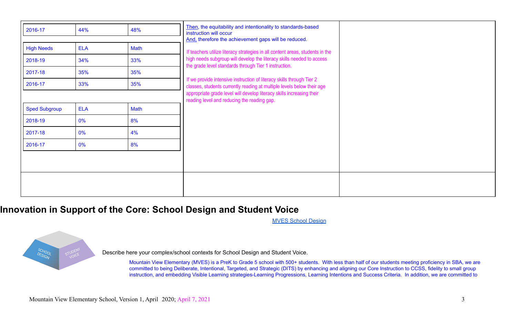| <b>ELA</b><br>Math<br>34%<br>33% | If teachers utilize literacy strategies in all content areas, students in the                                                  |                                                                                                                       |
|----------------------------------|--------------------------------------------------------------------------------------------------------------------------------|-----------------------------------------------------------------------------------------------------------------------|
|                                  |                                                                                                                                |                                                                                                                       |
|                                  | high needs subgroup will develop the literacy skills needed to access<br>the grade level standards through Tier 1 instruction. |                                                                                                                       |
| 35%<br>35%                       |                                                                                                                                |                                                                                                                       |
| 33%                              | If we provide intensive instruction of literacy skills through Tier 2                                                          |                                                                                                                       |
|                                  | appropriate grade level will develop literacy skills increasing their                                                          |                                                                                                                       |
| <b>ELA</b>                       |                                                                                                                                |                                                                                                                       |
| 0%                               |                                                                                                                                |                                                                                                                       |
| 0%                               |                                                                                                                                |                                                                                                                       |
| 0%                               |                                                                                                                                |                                                                                                                       |
|                                  |                                                                                                                                |                                                                                                                       |
|                                  |                                                                                                                                |                                                                                                                       |
|                                  | 35%<br>Math<br>8%<br>4%<br>8%                                                                                                  | classes, students currently reading at multiple levels below their age<br>reading level and reducing the reading gap. |

## **Innovation in Support of the Core: School Design and Student Voice**

MVES School [Design](https://drive.google.com/file/d/1avZ3XZarJf8WdUmPnJYY-lEZ_iMMbepK/view?usp=sharing)

Describe here your complex/school contexts for School Design and Student Voice.

Mountain View Elementary (MVES) is a PreK to Grade 5 school with 500+ students. With less than half of our students meeting proficiency in SBA, we are committed to being Deliberate, Intentional, Targeted, and Strategic (DITS) by enhancing and aligning our Core Instruction to CCSS, fidelity to small group instruction, and embedding Visible Learning strategies-Learning Progressions, Learning Intentions and Success Criteria. In addition, we are committed to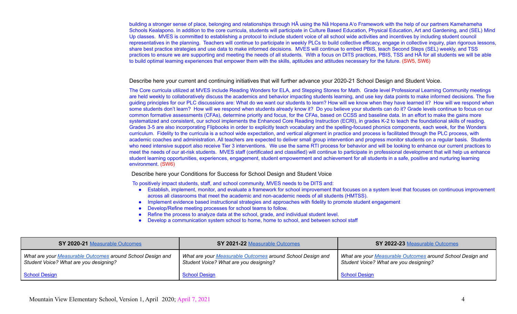building a stronger sense of place, belonging and relationships through HĀ using the Nā Hopena Aʻo Framework with the help of our partners Kamehameha Schools Kealapono. In addition to the core curricula, students will participate in Culture Based Education, Physical Education, Art and Gardening, and (SEL) Mind Up classes. MVES is committed to establishing a protocol to include student voice of all school wide activities and incentives by including student council representatives in the planning. Teachers will continue to participate in weekly PLCs to build collective efficacy, engage in collective inquiry, plan rigorous lessons, share best practice strategies and use data to make informed decisions. MVES will continue to embed PBIS, teach Second Steps (SEL) weekly, and TSS practices to ensure we are supporting and meeting the needs of all students. With a focus on DITS practices, PBIS, TSS and HĀ for all students we will be able to build optimal learning experiences that empower them with the skills, aptitudes and attitudes necessary for the future. (SW5, SW6)

#### Describe here your current and continuing initiatives that will further advance your 2020-21 School Design and Student Voice.

The Core curricula utilized at MVES include Reading Wonders for ELA, and Stepping Stones for Math. Grade level Professional Learning Community meetings are held weekly to collaboratively discuss the academics and behavior impacting students learning, and use key data points to make informed decisions. The five guiding principles for our PLC discussions are: What do we want our students to learn? How will we know when they have learned it? How will we respond when some students don't learn? How will we respond when students already know it? Do you believe your students can do it? Grade levels continue to focus on our common formative assessments (CFAs), determine priority and focus, for the CFAs, based on CCSS and baseline data. In an effort to make the gains more systematized and consistent, our school implements the Enhanced Core Reading Instruction (ECRI), in grades K-2 to teach the foundational skills of reading. Grades 3-5 are also incorporating Flipbooks in order to explicitly teach vocabulary and the spelling-focused phonics components, each week, for the Wonders curriculum. Fidelity to the curricula is a school wide expectation, and vertical alignment in practice and process is facilitated through the PLC process, with academic coaches and administration. All teachers are expected to deliver small group intervention and progress monitor students on a regular basis. Students who need intensive support also receive Tier 3 interventions. We use the same RTI process for behavior and will be looking to enhance our current practices to meet the needs of our at-risk students. MVES staff (certificated and classified) will continue to participate in professional development that will help us enhance student learning opportunities, experiences, engagement, student empowerment and achievement for all students in a safe, positive and nurturing learning environment. (SW6)

#### Describe here your Conditions for Success for School Design and Student Voice

To positively impact students, staff, and school community, MVES needs to be DITS and:

- Establish, implement, monitor, and evaluate a framework for school improvement that focuses on a system level that focuses on continuous improvement across all classrooms that meet the academic and non-academic needs of all students (HMTSS).
- Implement evidence based instructional strategies and approaches with fidelity to promote student engagement
- Develop/Refine meeting processes for school teams to follow.
- Refine the process to analyze data at the school, grade, and individual student level.
- Develop a communication system school to home, home to school, and between school staff

| SY 2020-21 Measurable Outcomes                                                                       | SY 2021-22 Measurable Outcomes                                                                              | SY 2022-23 Measurable Outcomes                                                                       |  |  |
|------------------------------------------------------------------------------------------------------|-------------------------------------------------------------------------------------------------------------|------------------------------------------------------------------------------------------------------|--|--|
| What are your Measurable Outcomes around School Design and<br>Student Voice? What are you designing? | What are your <i>Measurable Outcomes</i> around School Design and<br>Student Voice? What are you designing? | What are your Measurable Outcomes around School Design and<br>Student Voice? What are you designing? |  |  |
| <b>School Design</b>                                                                                 | <b>School Design</b>                                                                                        | <b>School Design</b>                                                                                 |  |  |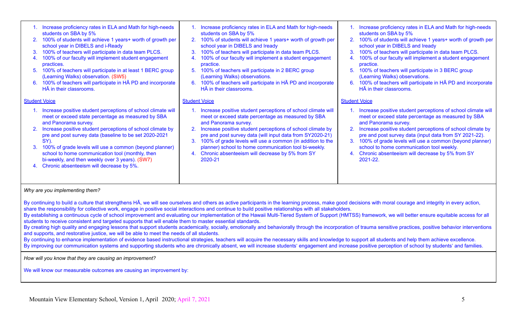|                      | 1. Increase proficiency rates in ELA and Math for high-needs<br>students on SBA by 5%                                                                                     |                | 1. Increase proficiency rates in ELA and Math for high-needs<br>students on SBA by 5%                                                                                                |              | Increase proficiency rates in ELA and Math for high-needs<br>students on SBA by 5%                                                                                        |
|----------------------|---------------------------------------------------------------------------------------------------------------------------------------------------------------------------|----------------|--------------------------------------------------------------------------------------------------------------------------------------------------------------------------------------|--------------|---------------------------------------------------------------------------------------------------------------------------------------------------------------------------|
|                      | 2. 100% of students will achieve 1 years+ worth of growth per<br>school year in DIBELS and i-Ready                                                                        | 2.             | 100% of students will achieve 1 years+ worth of growth per<br>school year in DIBELS and Iready                                                                                       |              | 2. 100% of students will achieve 1 years+ worth of growth per<br>school year in DIBELS and Iready                                                                         |
| $3_{\cdot}$          | 100% of teachers will participate in data team PLCS.                                                                                                                      | 3.             | 100% of teachers will participate in data team PLCS.                                                                                                                                 | $\mathbf{3}$ | 100% of teachers will participate in data team PLCS.                                                                                                                      |
| 4.                   | 100% of our faculty will implement student engagement<br>practices.                                                                                                       | 4.             | 100% of our faculty will implement a student engagement<br>practice.                                                                                                                 |              | 100% of our faculty will implement a student engagement<br>practice.                                                                                                      |
|                      | 5. 100% of teachers will participate in at least 1 BERC group<br>(Learning Walks) observation. (SW5)                                                                      | 5 <sub>1</sub> | 100% of teachers will participate in 2 BERC group<br>(Learning Walks) observations.                                                                                                  |              | 100% of teachers will participate in 3 BERC group<br>(Learning Walks) observations.                                                                                       |
|                      | 6. 100% of teachers will participate in HA PD and incorporate<br>HĀ in their classrooms.                                                                                  | 6.             | 100% of teachers will participate in HA PD and incorporate<br>HĀ in their classrooms.                                                                                                | 6.           | 100% of teachers will participate in HA PD and incorporate<br>HĀ in their classrooms.                                                                                     |
| <b>Student Voice</b> |                                                                                                                                                                           |                | <b>Student Voice</b>                                                                                                                                                                 |              | <b>Student Voice</b>                                                                                                                                                      |
|                      |                                                                                                                                                                           |                |                                                                                                                                                                                      |              |                                                                                                                                                                           |
|                      | 1. Increase positive student perceptions of school climate will<br>meet or exceed state percentage as measured by SBA                                                     |                | 1. Increase positive student perceptions of school climate will<br>meet or exceed state percentage as measured by SBA                                                                |              | Increase positive student perceptions of school climate will<br>meet or exceed state percentage as measured by SBA                                                        |
|                      | and Panorama survey.<br>2. Increase positive student perceptions of school climate by<br>pre and post survey data (baseline to be set 2020-2021                           | 2.<br>3.       | and Panorama survey.<br>Increase positive student perceptions of school climate by<br>pre and post survey data (will input data from SY2020-21)                                      |              | and Panorama survey.<br>Increase positive student perceptions of school climate by<br>pre and post survey data (input data from SY 2021-22).                              |
|                      | SY).<br>3. 100% of grade levels will use a common (beyond planner)<br>school to home communication tool (monthly, then<br>bi-weekly, and then weekly over 3 years). (SW7) |                | 100% of grade levels will use a common (in addition to the<br>planner) school to home communication tool bi-weekly.<br>4. Chronic absenteeism will decrease by 5% from SY<br>2020-21 |              | 100% of grade levels will use a common (beyond planner)<br>school to home communication tool weekly.<br>4. Chronic absenteeism will decrease by 5% from SY<br>$2021 - 22$ |

*Why are you implementing them?*

By continuing to build a culture that strengthens HĀ, we will see ourselves and others as active participants in the learning process, make good decisions with moral courage and integrity in every action, share the responsibility for collective work, engage in positive social interactions and continue to build positive relationships with all stakeholders.

By establishing a continuous cycle of school improvement and evaluating our implementation of the Hawaii Multi-Tiered System of Support (HMTSS) framework, we will better ensure equitable access for all students to receive consistent and targeted supports that will enable them to master essential standards.

By creating high quality and engaging lessons that support students academically, socially, emotionally and behaviorally through the incorporation of trauma sensitive practices, positive behavior interventions and supports, and restorative justice, we will be able to meet the needs of all students.

By continuing to enhance implementation of evidence based instructional strategies, teachers will acquire the necessary skills and knowledge to support all students and help them achieve excellence. By improving our communication systems and supporting students who are chronically absent, we will increase students' engagement and increase positive perception of school by students' and families.

*How will you know that they are causing an improvement?*

We will know our measurable outcomes are causing an improvement by: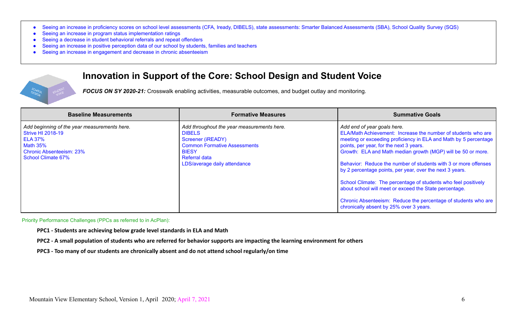- Seeing an increase in proficiency scores on school level assessments (CFA, Iready, DIBELS), state assessments: Smarter Balanced Assessments (SBA), School Quality Survey (SQS)
- Seeing an increase in program status implementation ratings
- Seeing a decrease in student behavioral referrals and repeat offenders
- Seeing an increase in positive perception data of our school by students, families and teachers
- Seeing an increase in engagement and decrease in chronic absenteeism

## **Innovation in Support of the Core: School Design and Student Voice**

*FOCUS ON SY 2020-21:* Crosswalk enabling activities, measurable outcomes, and budget outlay and monitoring.

| <b>Baseline Measurements</b>                                                                                                                               | <b>Formative Measures</b>                                                                                                                                                                | <b>Summative Goals</b>                                                                                                                                                                                                                                                                                                                                                                                                                                                                                                                                                                                                                              |
|------------------------------------------------------------------------------------------------------------------------------------------------------------|------------------------------------------------------------------------------------------------------------------------------------------------------------------------------------------|-----------------------------------------------------------------------------------------------------------------------------------------------------------------------------------------------------------------------------------------------------------------------------------------------------------------------------------------------------------------------------------------------------------------------------------------------------------------------------------------------------------------------------------------------------------------------------------------------------------------------------------------------------|
| Add beginning of the year measurements here.<br>Strive HI 2018-19<br>l ELA 37%<br><b>Math 35%</b><br><b>Chronic Absenteeism: 23%</b><br>School Climate 67% | Add throughout the year measurements here.<br><b>DIBELS</b><br>Screener (iREADY)<br><b>Common Formative Assessments</b><br><b>BIESY</b><br>Referral data<br>LDS/average daily attendance | Add end of year goals here.<br>ELA/Math Achievement: Increase the number of students who are<br>meeting or exceeding proficiency in ELA and Math by 5 percentage<br>points, per year, for the next 3 years.<br>Growth: ELA and Math median growth (MGP) will be 50 or more.<br>Behavior: Reduce the number of students with 3 or more offenses<br>by 2 percentage points, per year, over the next 3 years.<br>School Climate: The percentage of students who feel positively<br>about school will meet or exceed the State percentage.<br>Chronic Absenteeism: Reduce the percentage of students who are<br>chronically absent by 25% over 3 years. |

Priority Performance Challenges (PPCs as referred to in AcPlan):

- **PPC1 Students are achieving below grade level standards in ELA and Math**
- **PPC2 A small population of students who are referred for behavior supports are impacting the learning environment for others**
- **PPC3 Too many of our students are chronically absent and do not attend school regularly/on time**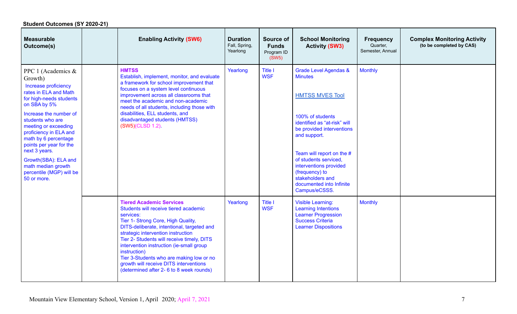| Student Outcomes (SY 2020-21)                                                                                                                                                                                                                                                                                                                                                             |  |                                                                                                                                                                                                                                                                                                                                                                                                                                                            |                                              |                                                         |                                                                                                                                                                                                                                                                                                                                                  |                                                  |                                                                |  |  |
|-------------------------------------------------------------------------------------------------------------------------------------------------------------------------------------------------------------------------------------------------------------------------------------------------------------------------------------------------------------------------------------------|--|------------------------------------------------------------------------------------------------------------------------------------------------------------------------------------------------------------------------------------------------------------------------------------------------------------------------------------------------------------------------------------------------------------------------------------------------------------|----------------------------------------------|---------------------------------------------------------|--------------------------------------------------------------------------------------------------------------------------------------------------------------------------------------------------------------------------------------------------------------------------------------------------------------------------------------------------|--------------------------------------------------|----------------------------------------------------------------|--|--|
| <b>Measurable</b><br><b>Outcome(s)</b>                                                                                                                                                                                                                                                                                                                                                    |  | <b>Enabling Activity (SW6)</b>                                                                                                                                                                                                                                                                                                                                                                                                                             | <b>Duration</b><br>Fall, Spring,<br>Yearlong | <b>Source of</b><br><b>Funds</b><br>Program ID<br>(SW5) | <b>School Monitoring</b><br><b>Activity (SW3)</b>                                                                                                                                                                                                                                                                                                | <b>Frequency</b><br>Quarter,<br>Semester, Annual | <b>Complex Monitoring Activity</b><br>(to be completed by CAS) |  |  |
| PPC 1 (Academics $\&$<br>Growth)<br>Increase proficiency<br>rates in ELA and Math<br>for high-needs students<br>on SBA by 5%<br>Increase the number of<br>students who are<br>meeting or exceeding<br>proficiency in ELA and<br>math by 6 percentage<br>points per year for the<br>next 3 years.<br>Growth(SBA): ELA and<br>math median growth<br>percentile (MGP) will be<br>50 or more. |  | <b>HMTSS</b><br>Establish, implement, monitor, and evaluate<br>a framework for school improvement that<br>focuses on a system level continuous<br>improvement across all classrooms that<br>meet the academic and non-academic<br>needs of all students, including those with<br>disabilities, ELL students, and<br>disadvantaged students (HMTSS)<br>(SW5)(CLSD 1.2).                                                                                     | Yearlong                                     | <b>Title I</b><br><b>WSF</b>                            | <b>Grade Level Agendas &amp;</b><br><b>Minutes</b><br><b>HMTSS MVES Tool</b><br>100% of students<br>identified as "at-risk" will<br>be provided interventions<br>and support.<br>Team will report on the #<br>of students serviced,<br>interventions provided<br>(frequency) to<br>stakeholders and<br>documented into Infinite<br>Campus/eCSSS. | <b>Monthly</b>                                   |                                                                |  |  |
|                                                                                                                                                                                                                                                                                                                                                                                           |  | <b>Tiered Academic Services</b><br>Students will receive tiered academic<br>services:<br>Tier 1- Strong Core, High Quality,<br>DITS-deliberate, intentional, targeted and<br>strategic intervention instruction<br>Tier 2- Students will receive timely, DITS<br>intervention instruction (ie-small group<br>instruction)<br>Tier 3-Students who are making low or no<br>growth will receive DITS interventions<br>(determined after 2-6 to 8 week rounds) | Yearlong                                     | <b>Title I</b><br><b>WSF</b>                            | <b>Visible Learning:</b><br><b>Learning Intentions</b><br><b>Learner Progression</b><br><b>Success Criteria</b><br><b>Learner Dispositions</b>                                                                                                                                                                                                   | <b>Monthly</b>                                   |                                                                |  |  |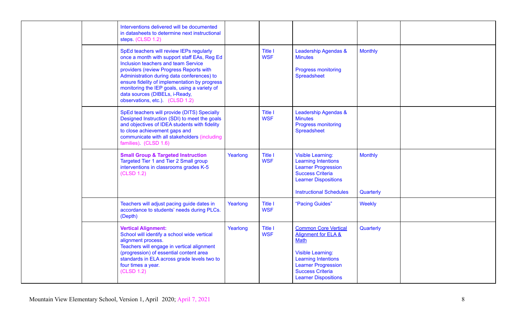|  | Interventions delivered will be documented<br>in datasheets to determine next instructional<br>steps. (CLSD 1.2)                                                                                                                                                                                                                                                                              |          |                              |                                                                                                                                                                                                                         |                             |  |
|--|-----------------------------------------------------------------------------------------------------------------------------------------------------------------------------------------------------------------------------------------------------------------------------------------------------------------------------------------------------------------------------------------------|----------|------------------------------|-------------------------------------------------------------------------------------------------------------------------------------------------------------------------------------------------------------------------|-----------------------------|--|
|  | SpEd teachers will review IEPs regularly<br>once a month with support staff EAs, Reg Ed<br>Inclusion teachers and team Service<br>providers (review Progress Reports with<br>Administration during data conferences) to<br>ensure fidelity of implementation by progress<br>monitoring the IEP goals, using a variety of<br>data sources (DIBELs, i-Ready,<br>observations, etc.). (CLSD 1.2) |          | <b>Title I</b><br><b>WSF</b> | <b>Leadership Agendas &amp;</b><br><b>Minutes</b><br><b>Progress monitoring</b><br>Spreadsheet                                                                                                                          | <b>Monthly</b>              |  |
|  | SpEd teachers will provide (DITS) Specially<br>Designed Instruction (SDI) to meet the goals<br>and objectives of IDEA students with fidelity<br>to close achievement gaps and<br>communicate with all stakeholders (including<br>families). (CLSD 1.6)                                                                                                                                        |          | <b>Title I</b><br><b>WSF</b> | Leadership Agendas &<br><b>Minutes</b><br><b>Progress monitoring</b><br>Spreadsheet                                                                                                                                     |                             |  |
|  | <b>Small Group &amp; Targeted Instruction</b><br>Targeted Tier 1 and Tier 2 Small group<br>interventions in classrooms grades K-5<br>(CLSD 1.2)                                                                                                                                                                                                                                               | Yearlong | <b>Title I</b><br><b>WSF</b> | <b>Visible Learning:</b><br><b>Learning Intentions</b><br><b>Learner Progression</b><br><b>Success Criteria</b><br><b>Learner Dispositions</b><br><b>Instructional Schedules</b>                                        | <b>Monthly</b><br>Quarterly |  |
|  | Teachers will adjust pacing guide dates in<br>accordance to students' needs during PLCs.<br>(Depth)                                                                                                                                                                                                                                                                                           | Yearlong | <b>Title I</b><br><b>WSF</b> | "Pacing Guides"                                                                                                                                                                                                         | Weekly                      |  |
|  | <b>Vertical Alignment:</b><br>School will identify a school wide vertical<br>alignment process.<br>Teachers will engage in vertical alignment<br>(progression) of essential content area<br>standards in ELA across grade levels two to<br>four times a year.<br>(CLSD 1.2)                                                                                                                   | Yearlong | <b>Title I</b><br><b>WSF</b> | <b>Common Core Vertical</b><br><b>Alignment for ELA &amp;</b><br>Math<br><b>Visible Learning:</b><br><b>Learning Intentions</b><br><b>Learner Progression</b><br><b>Success Criteria</b><br><b>Learner Dispositions</b> | Quarterly                   |  |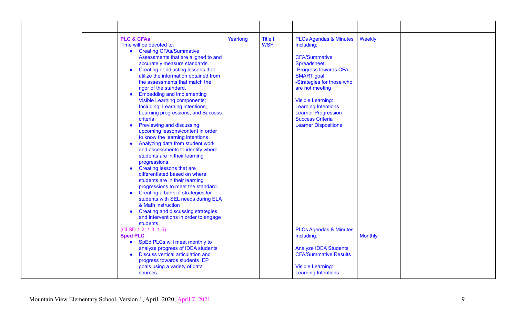| <b>PLC &amp; CFAs</b><br>Time will be devoted to:<br>• Creating CFAs/Summative<br>Assessments that are aligned to and<br>accurately measure standards.<br>Creating or adjusting lessons that<br>$\bullet$<br>utilize the information obtained from<br>the assessments that match the<br>rigor of the standard.<br><b>Embedding and implementing</b><br>$\bullet$<br><b>Visible Learning components;</b><br>Including: Learning intentions,<br>Learning progressions, and Success<br>criteria<br><b>Previewing and discussing</b><br>$\bullet$<br>upcoming lessons/content in order<br>to know the learning intentions<br>Analyzing data from student work<br>$\bullet$<br>and assessments to identify where<br>students are in their learning<br>progressions.<br><b>Creating lessons that are</b><br>$\bullet$<br>differentiated based on where<br>students are in their learning<br>progressions to meet the standard.<br>Creating a bank of strategies for<br>$\bullet$<br>students with SEL needs during ELA<br>& Math instruction<br><b>Creating and discussing strategies</b><br>$\bullet$<br>and interventions in order to engage<br>students | Yearlong | <b>Title I</b><br><b>WSF</b> | <b>PLCs Agendas &amp; Minutes</b><br>Including:<br><b>CFA/Summative</b><br>Spreadsheet:<br>-Progress towards CFA<br><b>SMART</b> goal<br>-Strategies for those who<br>are not meeting<br><b>Visible Learning:</b><br><b>Learning Intentions</b><br><b>Learner Progression</b><br><b>Success Criteria</b><br><b>Learner Dispositions</b> | Weekly         |
|------------------------------------------------------------------------------------------------------------------------------------------------------------------------------------------------------------------------------------------------------------------------------------------------------------------------------------------------------------------------------------------------------------------------------------------------------------------------------------------------------------------------------------------------------------------------------------------------------------------------------------------------------------------------------------------------------------------------------------------------------------------------------------------------------------------------------------------------------------------------------------------------------------------------------------------------------------------------------------------------------------------------------------------------------------------------------------------------------------------------------------------------------|----------|------------------------------|-----------------------------------------------------------------------------------------------------------------------------------------------------------------------------------------------------------------------------------------------------------------------------------------------------------------------------------------|----------------|
| (CLSD 1.2, 1.3, 1.5)<br><b>Sped PLC</b><br>• SpEd PLCs will meet monthly to<br>analyze progress of IDEA students<br>Discuss vertical articulation and<br>$\bullet$<br>progress towards students IEP<br>goals using a variety of data<br>sources.                                                                                                                                                                                                                                                                                                                                                                                                                                                                                                                                                                                                                                                                                                                                                                                                                                                                                                     |          |                              | <b>PLCs Agendas &amp; Minutes</b><br>Including:<br><b>Analyze IDEA Students</b><br><b>CFA/Summative Results</b><br><b>Visible Learning:</b><br><b>Learning Intentions</b>                                                                                                                                                               | <b>Monthly</b> |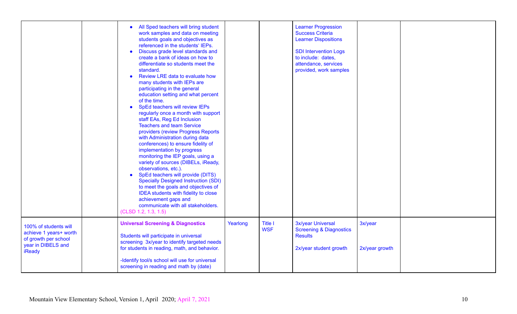|                                                                                                                | All Sped teachers will bring student<br>$\bullet$<br>work samples and data on meeting<br>students goals and objectives as<br>referenced in the students' IEPs.<br>Discuss grade level standards and<br>$\bullet$<br>create a bank of ideas on how to<br>differentiate so students meet the<br>standard.<br>Review LRE data to evaluate how<br>$\bullet$<br>many students with IEPs are<br>participating in the general<br>education setting and what percent<br>of the time.<br>SpEd teachers will review IEPs<br>$\bullet$<br>regularly once a month with support<br>staff EAs, Reg Ed Inclusion<br><b>Teachers and team Service</b><br>providers (review Progress Reports<br>with Administration during data<br>conferences) to ensure fidelity of<br>implementation by progress<br>monitoring the IEP goals, using a<br>variety of sources (DIBELs, iReady,<br>observations, etc.).<br>SpEd teachers will provide (DITS)<br>$\bullet$<br><b>Specially Designed Instruction (SDI)</b><br>to meet the goals and objectives of<br><b>IDEA</b> students with fidelity to close<br>achievement gaps and<br>communicate with all stakeholders.<br>(CLSD 1.2, 1.3, 1.5) |          |                              | <b>Learner Progression</b><br><b>Success Criteria</b><br><b>Learner Dispositions</b><br><b>SDI Intervention Logs</b><br>to include: dates,<br>attendance, services<br>provided, work samples |                           |  |
|----------------------------------------------------------------------------------------------------------------|---------------------------------------------------------------------------------------------------------------------------------------------------------------------------------------------------------------------------------------------------------------------------------------------------------------------------------------------------------------------------------------------------------------------------------------------------------------------------------------------------------------------------------------------------------------------------------------------------------------------------------------------------------------------------------------------------------------------------------------------------------------------------------------------------------------------------------------------------------------------------------------------------------------------------------------------------------------------------------------------------------------------------------------------------------------------------------------------------------------------------------------------------------------------|----------|------------------------------|----------------------------------------------------------------------------------------------------------------------------------------------------------------------------------------------|---------------------------|--|
| 100% of students will<br>achieve 1 years+ worth<br>of growth per school<br>year in DIBELS and<br><b>iReady</b> | <b>Universal Screening &amp; Diagnostics</b><br>Students will participate in universal<br>screening 3x/year to identify targeted needs<br>for students in reading, math, and behavior.<br>-Identify tool/s school will use for universal<br>screening in reading and math by (date)                                                                                                                                                                                                                                                                                                                                                                                                                                                                                                                                                                                                                                                                                                                                                                                                                                                                                 | Yearlong | <b>Title I</b><br><b>WSF</b> | 3x/year Universal<br><b>Screening &amp; Diagnostics</b><br><b>Results</b><br>2x/year student growth                                                                                          | 3x/year<br>2x/year growth |  |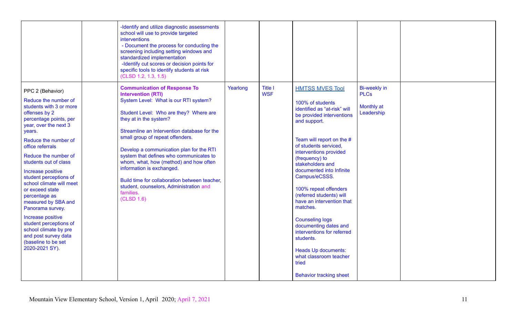|                                                                                                                                                                                                                                                                                                                                                                                                                                                                                                                                                   | -Identify and utilize diagnostic assessments<br>school will use to provide targeted<br>interventions<br>- Document the process for conducting the<br>screening including setting windows and<br>standardized implementation<br>-Identify cut scores or decision points for<br>specific tools to identify students at risk<br>(CLSD 1.2, 1.3, 1.5)                                                                                                                                                                                                     |          |                              |                                                                                                                                                                                                                                                                                                                                                                                                                                                                                                                                                                                           |                                                         |  |
|---------------------------------------------------------------------------------------------------------------------------------------------------------------------------------------------------------------------------------------------------------------------------------------------------------------------------------------------------------------------------------------------------------------------------------------------------------------------------------------------------------------------------------------------------|-------------------------------------------------------------------------------------------------------------------------------------------------------------------------------------------------------------------------------------------------------------------------------------------------------------------------------------------------------------------------------------------------------------------------------------------------------------------------------------------------------------------------------------------------------|----------|------------------------------|-------------------------------------------------------------------------------------------------------------------------------------------------------------------------------------------------------------------------------------------------------------------------------------------------------------------------------------------------------------------------------------------------------------------------------------------------------------------------------------------------------------------------------------------------------------------------------------------|---------------------------------------------------------|--|
| PPC 2 (Behavior)<br>Reduce the number of<br>students with 3 or more<br>offenses by 2<br>percentage points, per<br>year, over the next 3<br>years.<br>Reduce the number of<br>office referrals<br>Reduce the number of<br>students out of class<br>Increase positive<br>student perceptions of<br>school climate will meet<br>or exceed state<br>percentage as<br>measured by SBA and<br>Panorama survey.<br>Increase positive<br>student perceptions of<br>school climate by pre<br>and post survey data<br>(baseline to be set<br>2020-2021 SY). | <b>Communication of Response To</b><br><b>Intervention (RTI)</b><br>System Level: What is our RTI system?<br>Student Level: Who are they? Where are<br>they at in the system?<br>Streamline an Intervention database for the<br>small group of repeat offenders.<br>Develop a communication plan for the RTI<br>system that defines who communicates to<br>whom, what, how (method) and how often<br>information is exchanged.<br>Build time for collaboration between teacher,<br>student, counselors, Administration and<br>families.<br>(CLSD 1.6) | Yearlong | <b>Title I</b><br><b>WSF</b> | <b>HMTSS MVES Tool</b><br>100% of students<br>identified as "at-risk" will<br>be provided interventions<br>and support.<br>Team will report on the #<br>of students serviced,<br>interventions provided<br>(frequency) to<br>stakeholders and<br>documented into Infinite<br>Campus/eCSSS.<br>100% repeat offenders<br>(referred students) will<br>have an intervention that<br>matches.<br><b>Counseling logs</b><br>documenting dates and<br>interventions for referred<br>students.<br><b>Heads Up documents:</b><br>what classroom teacher<br>tried<br><b>Behavior tracking sheet</b> | Bi-weekly in<br><b>PLCs</b><br>Monthly at<br>Leadership |  |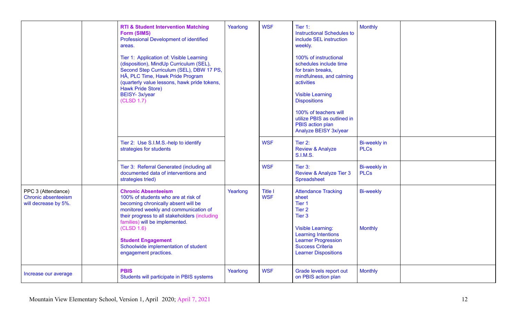|                                                                   | <b>RTI &amp; Student Intervention Matching</b><br>Form (SIMS)<br><b>Professional Development of identified</b><br>areas.<br>Tier 1: Application of: Visible Learning<br>(disposition), MindUp Curriculum (SEL),<br>Second Step Curriculum (SEL), DBW 17 PS,<br>HĀ, PLC Time, Hawk Pride Program<br>(quarterly value lessons, hawk pride tokens,<br><b>Hawk Pride Store)</b><br>BEISY- 3x/year<br>(CLSD 1.7) | Yearlong | <b>WSF</b>                   | Tier 1:<br><b>Instructional Schedules to</b><br>include SEL instruction<br>weekly.<br>100% of instructional<br>schedules include time<br>for brain breaks,<br>mindfulness, and calming<br>activities<br><b>Visible Learning</b><br><b>Dispositions</b><br>100% of teachers will<br>utilize PBIS as outlined in<br>PBIS action plan<br>Analyze BEISY 3x/year | <b>Monthly</b>                     |  |
|-------------------------------------------------------------------|-------------------------------------------------------------------------------------------------------------------------------------------------------------------------------------------------------------------------------------------------------------------------------------------------------------------------------------------------------------------------------------------------------------|----------|------------------------------|-------------------------------------------------------------------------------------------------------------------------------------------------------------------------------------------------------------------------------------------------------------------------------------------------------------------------------------------------------------|------------------------------------|--|
|                                                                   | Tier 2: Use S.I.M.S.-help to identify<br>strategies for students                                                                                                                                                                                                                                                                                                                                            |          | <b>WSF</b>                   | Tier 2:<br><b>Review &amp; Analyze</b><br><b>S.I.M.S.</b>                                                                                                                                                                                                                                                                                                   | <b>Bi-weekly in</b><br><b>PLCs</b> |  |
|                                                                   | Tier 3: Referral Generated (including all<br>documented data of interventions and<br>strategies tried)                                                                                                                                                                                                                                                                                                      |          | <b>WSF</b>                   | Tier 3:<br><b>Review &amp; Analyze Tier 3</b><br>Spreadsheet                                                                                                                                                                                                                                                                                                | Bi-weekly in<br><b>PLCs</b>        |  |
| PPC 3 (Attendance)<br>Chronic absenteeism<br>will decrease by 5%. | <b>Chronic Absenteeism</b><br>100% of students who are at risk of<br>becoming chronically absent will be<br>monitored weekly and communication of<br>their progress to all stakeholders (including<br>families) will be implemented.<br>(CLSD 1.6)<br><b>Student Engagement</b><br>Schoolwide implementation of student<br>engagement practices.                                                            | Yearlong | <b>Title I</b><br><b>WSF</b> | <b>Attendance Tracking</b><br>sheet<br>Tier <sub>1</sub><br>Tier <sub>2</sub><br>Tier <sub>3</sub><br><b>Visible Learning:</b><br><b>Learning Intentions</b><br><b>Learner Progression</b><br><b>Success Criteria</b><br><b>Learner Dispositions</b>                                                                                                        | <b>Bi-weekly</b><br><b>Monthly</b> |  |
| Increase our average                                              | <b>PBIS</b><br>Students will participate in PBIS systems                                                                                                                                                                                                                                                                                                                                                    | Yearlong | <b>WSF</b>                   | Grade levels report out<br>on PBIS action plan                                                                                                                                                                                                                                                                                                              | <b>Monthly</b>                     |  |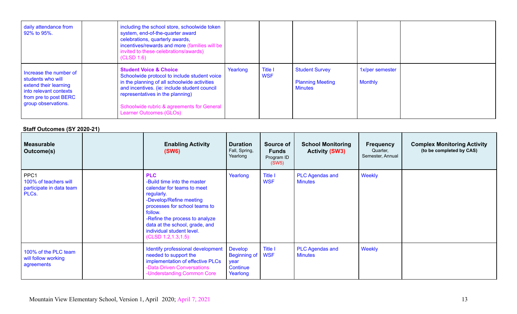| daily attendance from<br>92% to 95%.                                                                                                           | including the school store, schoolwide token<br>system, end-of-the-quarter award<br>celebrations, quarterly awards,<br>incentives/rewards and more (families will be<br>invited to these celebrations/awards)<br>(CLSD 1.6)                                                                    |          |                       |                                                                    |                                   |  |
|------------------------------------------------------------------------------------------------------------------------------------------------|------------------------------------------------------------------------------------------------------------------------------------------------------------------------------------------------------------------------------------------------------------------------------------------------|----------|-----------------------|--------------------------------------------------------------------|-----------------------------------|--|
| Increase the number of<br>students who will<br>extend their learning<br>into relevant contexts<br>from pre to post BERC<br>group observations. | <b>Student Voice &amp; Choice</b><br>Schoolwide protocol to include student voice<br>in the planning of all schoolwide activities<br>and incentives. (ie: include student council<br>representatives in the planning)<br>Schoolwide rubric & agreements for General<br>Learner Outcomes (GLOs) | Yearlong | Title I<br><b>WSF</b> | <b>Student Survey</b><br><b>Planning Meeting</b><br><b>Minutes</b> | 1x/per semester<br><b>Monthly</b> |  |

#### **Staff Outcomes (SY 2020-21)**

| <b>Measurable</b><br><b>Outcome(s)</b>                             | <b>Enabling Activity</b><br>(SW6)                                                                                                                                                                                                                                                     | <b>Duration</b><br>Fall, Spring,<br>Yearlong                          | Source of<br><b>Funds</b><br>Program ID<br>(SW5) | <b>School Monitoring</b><br><b>Activity (SW3)</b> | <b>Frequency</b><br>Quarter,<br>Semester, Annual | <b>Complex Monitoring Activity</b><br>(to be completed by CAS) |
|--------------------------------------------------------------------|---------------------------------------------------------------------------------------------------------------------------------------------------------------------------------------------------------------------------------------------------------------------------------------|-----------------------------------------------------------------------|--------------------------------------------------|---------------------------------------------------|--------------------------------------------------|----------------------------------------------------------------|
| PPC1<br>100% of teachers will<br>participate in data team<br>PLCs. | <b>PLC</b><br>-Build time into the master<br>calendar for teams to meet<br>regularly.<br>-Develop/Refine meeting<br>processes for school teams to<br>follow.<br>-Refine the process to analyze<br>data at the school, grade, and<br>individual student level.<br>(CLSD 1.2, 1.3, 1.5) | Yearlong                                                              | <b>Title I</b><br><b>WSF</b>                     | <b>PLC Agendas and</b><br><b>Minutes</b>          | <b>Weekly</b>                                    |                                                                |
| 100% of the PLC team<br>will follow working<br>agreements          | Identify professional development<br>needed to support the<br>implementation of effective PLCs<br>-Data Driven Conversations<br>-Understanding Common Core                                                                                                                            | <b>Develop</b><br><b>Beginning of</b><br>year<br>Continue<br>Yearlong | <b>Title I</b><br><b>WSF</b>                     | <b>PLC Agendas and</b><br><b>Minutes</b>          | Weekly                                           |                                                                |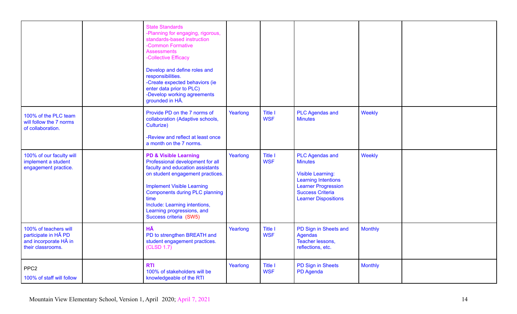|                                                                                             | <b>State Standards</b><br>-Planning for engaging, rigorous,<br>standards-based instruction<br>-Common Formative<br><b>Assessments</b><br>-Collective Efficacy<br>Develop and define roles and<br>responsibilities.<br>-Create expected behaviors (ie<br>enter data prior to PLC)<br>-Develop working agreements<br>grounded in HĀ. |          |                              |                                                                                                                                                                                            |                |  |
|---------------------------------------------------------------------------------------------|------------------------------------------------------------------------------------------------------------------------------------------------------------------------------------------------------------------------------------------------------------------------------------------------------------------------------------|----------|------------------------------|--------------------------------------------------------------------------------------------------------------------------------------------------------------------------------------------|----------------|--|
| 100% of the PLC team<br>will follow the 7 norms<br>of collaboration.                        | Provide PD on the 7 norms of<br>collaboration (Adaptive schools,<br>Culturize)<br>-Review and reflect at least once<br>a month on the 7 norms.                                                                                                                                                                                     | Yearlong | <b>Title I</b><br><b>WSF</b> | <b>PLC Agendas and</b><br><b>Minutes</b>                                                                                                                                                   | Weekly         |  |
| 100% of our faculty will<br>implement a student<br>engagement practice.                     | <b>PD &amp; Visible Learning</b><br>Professional development for all<br>faculty and education assistants<br>on student engagement practices.<br><b>Implement Visible Learning</b><br><b>Components during PLC planning</b><br>time<br>Include: Learning intentions,<br>Learning progressions, and<br>Success criteria (SW5)        | Yearlong | <b>Title I</b><br><b>WSF</b> | <b>PLC Agendas and</b><br><b>Minutes</b><br><b>Visible Learning:</b><br><b>Learning Intentions</b><br><b>Learner Progression</b><br><b>Success Criteria</b><br><b>Learner Dispositions</b> | Weekly         |  |
| 100% of teachers will<br>participate in HĀ PD<br>and incorporate HA in<br>their classrooms. | HĀ<br>PD to strengthen BREATH and<br>student engagement practices.<br>(CLSD 1.7)                                                                                                                                                                                                                                                   | Yearlong | <b>Title I</b><br><b>WSF</b> | PD Sign in Sheets and<br><b>Agendas</b><br>Teacher lessons,<br>reflections, etc.                                                                                                           | <b>Monthly</b> |  |
| PPC <sub>2</sub><br>100% of staff will follow                                               | <b>RTI</b><br>100% of stakeholders will be<br>knowledgeable of the RTI                                                                                                                                                                                                                                                             | Yearlong | <b>Title I</b><br><b>WSF</b> | PD Sign in Sheets<br>PD Agenda                                                                                                                                                             | <b>Monthly</b> |  |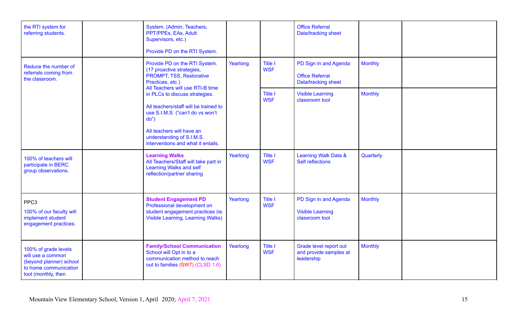| the RTI system for<br>referring students.                                                                            |                                                                                                                                                                                                                                                         | System. (Admin, Teachers,<br>PPT/PPEs, EAs, Adult<br>Supervisors, etc.)<br>Provide PD on the RTI System.                                     |                       |                                           | <b>Office Referral</b><br>Data/tracking sheet                          |                |  |
|----------------------------------------------------------------------------------------------------------------------|---------------------------------------------------------------------------------------------------------------------------------------------------------------------------------------------------------------------------------------------------------|----------------------------------------------------------------------------------------------------------------------------------------------|-----------------------|-------------------------------------------|------------------------------------------------------------------------|----------------|--|
| Reduce the number of<br>referrals coming from<br>the classroom.                                                      |                                                                                                                                                                                                                                                         | Provide PD on the RTI System.<br>(17 proactive strategies,<br>PROMPT, TSS, Restorative<br>Practices, etc.)                                   | Yearlong              | Title I<br><b>WSF</b>                     | PD Sign in and Agenda<br><b>Office Referral</b><br>Data/tracking sheet | <b>Monthly</b> |  |
|                                                                                                                      | All Teachers will use RTI-B time<br>in PLCs to discuss strategies.<br>All teachers/staff will be trained to<br>use S.I.M.S. ("can't do vs won't<br>do")<br>All teachers will have an<br>understanding of S.I.M.S.<br>interventions and what it entails. |                                                                                                                                              | Title I<br><b>WSF</b> | <b>Visible Learning</b><br>classroom tool | <b>Monthly</b>                                                         |                |  |
| 100% of teachers will<br>participate in BERC<br>group observations.                                                  |                                                                                                                                                                                                                                                         | <b>Learning Walks</b><br>All Teachers/Staff will take part in<br><b>Learning Walks and self</b><br>reflection/partner sharing                | Yearlong              | Title I<br><b>WSF</b>                     | Learning Walk Data &<br>Self reflections                               | Quarterly      |  |
| PPC3<br>100% of our faculty will<br>implement student<br>engagement practices.                                       |                                                                                                                                                                                                                                                         | <b>Student Engagement PD</b><br>Professional development on<br>student engagement practices (ie.<br><b>Visible Learning, Learning Walks)</b> | Yearlong              | <b>Title I</b><br><b>WSF</b>              | PD Sign in and Agenda<br><b>Visible Learning</b><br>classroom tool     | <b>Monthly</b> |  |
| 100% of grade levels<br>will use a common<br>(beyond planner) school<br>to home communication<br>tool (monthly, then |                                                                                                                                                                                                                                                         | <b>Family/School Communication</b><br>School will Opt in to a<br>communication method to reach<br>out to families (SW7) (CLSD 1.6)           | Yearlong              | Title I<br><b>WSF</b>                     | Grade level report out<br>and provide samples at<br>leadership         | <b>Monthly</b> |  |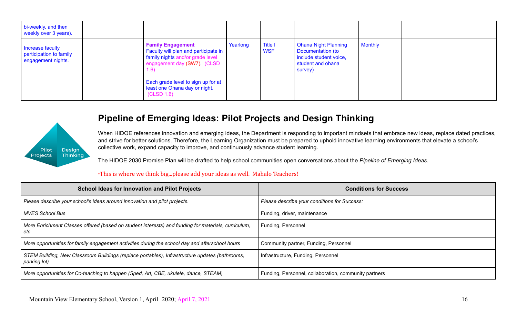| bi-weekly, and then<br>weekly over 3 years).                      |                                                                                                                                                                                                                                  |          |                       |                                                                                                            |                |  |
|-------------------------------------------------------------------|----------------------------------------------------------------------------------------------------------------------------------------------------------------------------------------------------------------------------------|----------|-----------------------|------------------------------------------------------------------------------------------------------------|----------------|--|
| Increase faculty<br>participation to family<br>engagement nights. | <b>Family Engagement</b><br>Faculty will plan and participate in<br>family nights and/or grade level<br>engagement day (SW7). (CLSD<br>1.6)<br>Each grade level to sign up for at<br>least one Ohana day or night.<br>(CLSD 1.6) | Yearlong | Title I<br><b>WSF</b> | <b>Ohana Night Planning</b><br>Documentation (to<br>include student voice,<br>student and ohana<br>survey) | <b>Monthly</b> |  |



### **Pipeline of Emerging Ideas: Pilot Projects and Design Thinking**

When HIDOE references innovation and emerging ideas, the Department is responding to important mindsets that embrace new ideas, replace dated practices, and strive for better solutions. Therefore, the Learning Organization must be prepared to uphold innovative learning environments that elevate a school's collective work, expand capacity to improve, and continuously advance student learning.

The HIDOE 2030 Promise Plan will be drafted to help school communities open conversations about the *Pipeline of Emerging Ideas*.

#### \*This is where we think big...please add your ideas as well. Mahalo Teachers!

| <b>School Ideas for Innovation and Pilot Projects</b>                                                          | <b>Conditions for Success</b>                         |
|----------------------------------------------------------------------------------------------------------------|-------------------------------------------------------|
| Please describe your school's ideas around innovation and pilot projects.                                      | Please describe your conditions for Success:          |
| MVES School Bus                                                                                                | Funding, driver, maintenance                          |
| More Enrichment Classes offered (based on student interests) and funding for materials, curriculum,<br>etc     | Funding, Personnel                                    |
| More opportunities for family engagement activities during the school day and afterschool hours                | Community partner, Funding, Personnel                 |
| STEM Building, New Classroom Buildings (replace portables), Infrastructure updates (bathrooms,<br>parking lot) | Infrastructure, Funding, Personnel                    |
| More opportunities for Co-teaching to happen (Sped, Art, CBE, ukulele, dance, STEAM)                           | Funding, Personnel, collaboration, community partners |